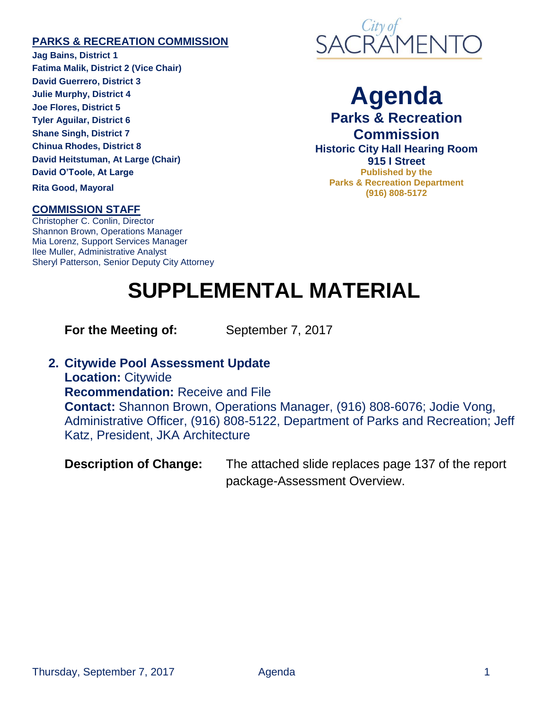## **PARKS & RECREATION COMMISSION**

**Jag Bains, District 1 Fatima Malik, District 2 (Vice Chair) David Guerrero, District 3 Julie Murphy, District 4 Joe Flores, District 5 Tyler Aguilar, District 6 Shane Singh, District 7 Chinua Rhodes, District 8 David Heitstuman, At Large (Chair) David O'Toole, At Large**

**Rita Good, Mayoral**

## **COMMISSION STAFF**

Christopher C. Conlin, Director Shannon Brown, Operations Manager Mia Lorenz, Support Services Manager Ilee Muller, Administrative Analyst Sheryl Patterson, Senior Deputy City Attorney



**Agenda Parks & Recreation Commission Historic City Hall Hearing Room 915 I Street Published by the Parks & Recreation Department (916) 808-5172**

## **SUPPLEMENTAL MATERIAL**

**For the Meeting of:** September 7, 2017

**2. Citywide Pool Assessment Update**

**Location:** Citywide **Recommendation:** Receive and File **Contact:** Shannon Brown, Operations Manager, (916) 808-6076; Jodie Vong, Administrative Officer, (916) 808-5122, Department of Parks and Recreation; Jeff Katz, President, JKA Architecture

**Description of Change:** The attached slide replaces page 137 of the report package-Assessment Overview.